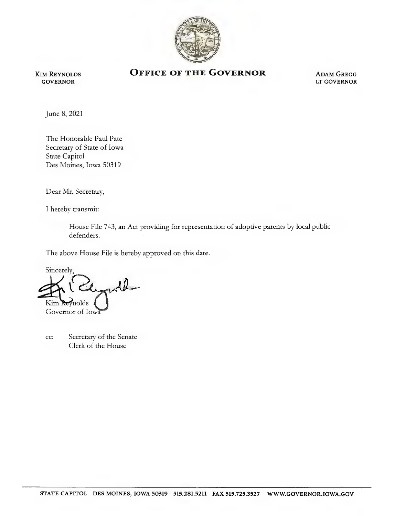

Kim Reynolds GOVERNOR

## OFFICE OF THE GOVERNOR ADAM GREGG

LT GOVERNOR

June 8, 2021

The Honorable Paul Pate Secretary of State of Iowa State Capitol Des Moines, Iowa 50319

Dear Mr. Secretary,

I hereby transmit:

House File 743, an Act providing for representation of adoptive parents by local public defenders.

The above House File is hereby approved on this date.

Sincerely, molds<sup>.</sup> Governor of Iowa

cc: Secretary of the Senate Clerk of the House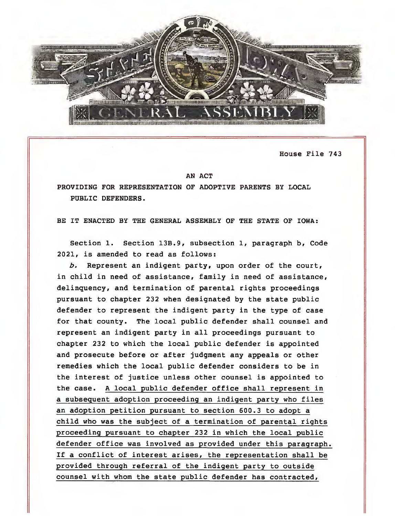

House File 743

## AN ACT

PROVIDING FOR REPRESENTATION OF ADOPTIVE PARENTS BY LOCAL PUBLIC DEFENDERS.

BE IT ENACTED BY THE GENERAL ASSEMBLY OF THE STATE OF IOWA:

Section 1. Section 13B.9, subsection 1, paragraph b, Code 2021, is amended to read as follows:

b. Represent an indigent party, upon order of the court, in child in need of assistance, family in need of assistance, delinquency, and termination of parental rights proceedings pursuant to chapter 232 when designated by the state public defender to represent the indigent party in the type of case for that county. The local public defender shall counsel and represent an indigent party in all proceedings pursuant to chapter 232 to which the local public defender is appointed and prosecute before or after judgment any appeals or other remedies which the local public defender considers to be in the interest of justice unless other counsel is appointed to the case. A local public defender office shall represent in a subsequent adoption proceeding an indigent party who files an adoption petition pursuant to section 600.3 to adopt a child who was the subject of a termination of parental rights proceeding pursuant to chapter 232 in which the local public defender office was involved as provided under this paragraph. If a conflict of interest arises, the representation shall be provided through referral of the indigent party to outside counsel with whom the state public defender has contracted.